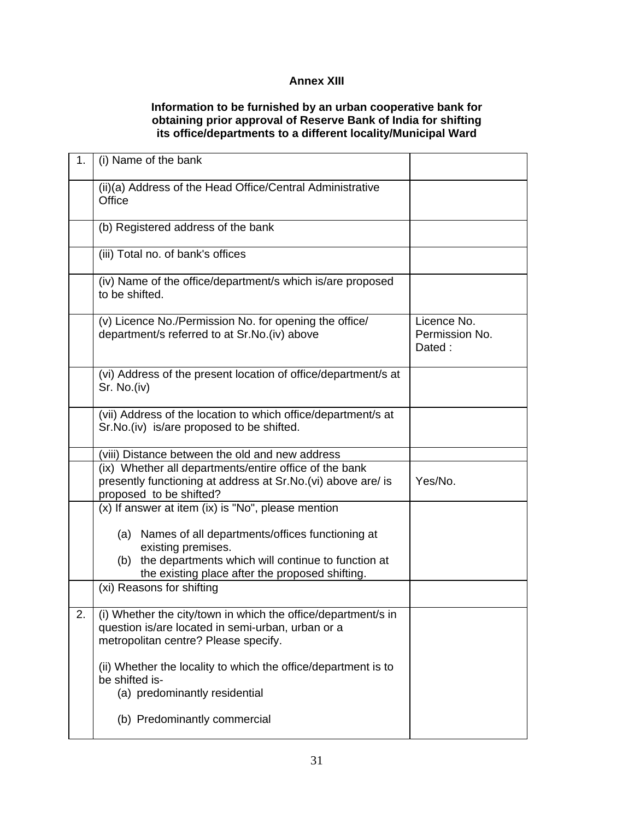## **Annex XIII**

## **Information to be furnished by an urban cooperative bank for obtaining prior approval of Reserve Bank of India for shifting its office/departments to a different locality/Municipal Ward**

| 1. | (i) Name of the bank                                                                                                                                       |                                         |
|----|------------------------------------------------------------------------------------------------------------------------------------------------------------|-----------------------------------------|
|    | (ii)(a) Address of the Head Office/Central Administrative<br>Office                                                                                        |                                         |
|    | (b) Registered address of the bank                                                                                                                         |                                         |
|    | (iii) Total no. of bank's offices                                                                                                                          |                                         |
|    | (iv) Name of the office/department/s which is/are proposed<br>to be shifted.                                                                               |                                         |
|    | (v) Licence No./Permission No. for opening the office/<br>department/s referred to at Sr.No.(iv) above                                                     | Licence No.<br>Permission No.<br>Dated: |
|    | (vi) Address of the present location of office/department/s at<br>Sr. No.(iv)                                                                              |                                         |
|    | (vii) Address of the location to which office/department/s at<br>Sr. No. (iv) is/are proposed to be shifted.                                               |                                         |
|    | (viii) Distance between the old and new address                                                                                                            |                                         |
|    | (ix) Whether all departments/entire office of the bank                                                                                                     |                                         |
|    | presently functioning at address at Sr.No.(vi) above are/ is<br>proposed to be shifted?                                                                    | Yes/No.                                 |
|    | (x) If answer at item (ix) is "No", please mention                                                                                                         |                                         |
|    | (a) Names of all departments/offices functioning at<br>existing premises.                                                                                  |                                         |
|    | (b) the departments which will continue to function at<br>the existing place after the proposed shifting.                                                  |                                         |
|    | (xi) Reasons for shifting                                                                                                                                  |                                         |
| 2. | (i) Whether the city/town in which the office/department/s in<br>question is/are located in semi-urban, urban or a<br>metropolitan centre? Please specify. |                                         |
|    | (ii) Whether the locality to which the office/department is to<br>be shifted is-<br>(a) predominantly residential                                          |                                         |
|    | (b) Predominantly commercial                                                                                                                               |                                         |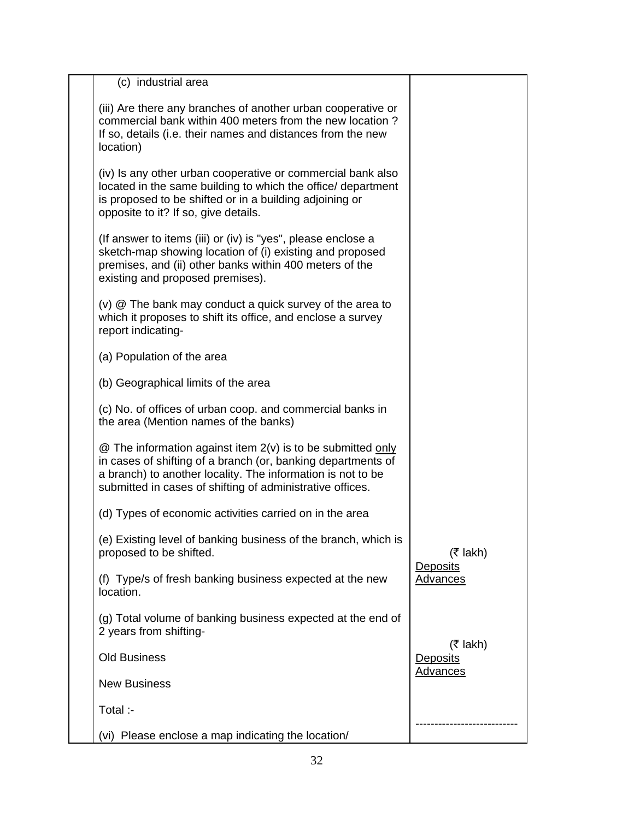| (c) industrial area                                                                                                                                                                                                                                     |                                                  |
|---------------------------------------------------------------------------------------------------------------------------------------------------------------------------------------------------------------------------------------------------------|--------------------------------------------------|
| (iii) Are there any branches of another urban cooperative or<br>commercial bank within 400 meters from the new location?<br>If so, details (i.e. their names and distances from the new<br>location)                                                    |                                                  |
| (iv) Is any other urban cooperative or commercial bank also<br>located in the same building to which the office/ department<br>is proposed to be shifted or in a building adjoining or<br>opposite to it? If so, give details.                          |                                                  |
| (If answer to items (iii) or (iv) is "yes", please enclose a<br>sketch-map showing location of (i) existing and proposed<br>premises, and (ii) other banks within 400 meters of the<br>existing and proposed premises).                                 |                                                  |
| $(v)$ $\circledR$ The bank may conduct a quick survey of the area to<br>which it proposes to shift its office, and enclose a survey<br>report indicating-                                                                                               |                                                  |
| (a) Population of the area                                                                                                                                                                                                                              |                                                  |
| (b) Geographical limits of the area                                                                                                                                                                                                                     |                                                  |
| (c) No. of offices of urban coop. and commercial banks in<br>the area (Mention names of the banks)                                                                                                                                                      |                                                  |
| @ The information against item 2(v) is to be submitted only<br>in cases of shifting of a branch (or, banking departments of<br>a branch) to another locality. The information is not to be<br>submitted in cases of shifting of administrative offices. |                                                  |
| (d) Types of economic activities carried on in the area                                                                                                                                                                                                 |                                                  |
| (e) Existing level of banking business of the branch, which is<br>proposed to be shifted.                                                                                                                                                               | $(3 \tanh)$                                      |
| (f) Type/s of fresh banking business expected at the new<br>location.                                                                                                                                                                                   | <b>Deposits</b><br><b>Advances</b>               |
| (g) Total volume of banking business expected at the end of<br>2 years from shifting-                                                                                                                                                                   |                                                  |
| <b>Old Business</b>                                                                                                                                                                                                                                     | $(5$ lakh)<br><b>Deposits</b><br><b>Advances</b> |
| <b>New Business</b>                                                                                                                                                                                                                                     |                                                  |
| Total :-                                                                                                                                                                                                                                                |                                                  |
| (vi) Please enclose a map indicating the location/                                                                                                                                                                                                      |                                                  |